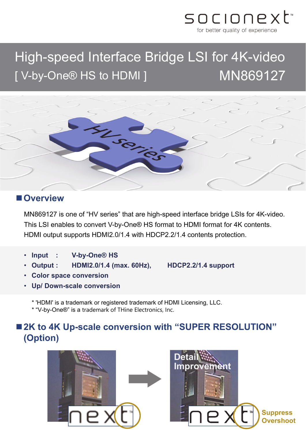

# High-speed Interface Bridge LSI for 4K-video [ V-by-One® HS to HDMI ] MN869127



#### **Overview**

MN869127 is one of "HV series" that are high-speed interface bridge LSIs for 4K-video. This LSI enables to convert V-by-One® HS format to HDMI format for 4K contents. HDMI output supports HDMI2.0/1.4 with HDCP2.2/1.4 contents protection.

- **Input : V-by-One® HS**
- **Output : HDMI2.0/1.4 (max. 60Hz), HDCP2.2/1.4 support**

- **Color space conversion**
- **Up/ Down-scale conversion**

\* 'HDMI' is a trademark or registered trademark of HDMI Licensing, LLC.

\* "V-by-One®" is a trademark of THine Electronics, Inc.

# ■ 2K to 4K Up-scale conversion with "SUPER RESOLUTION" **(Option)**